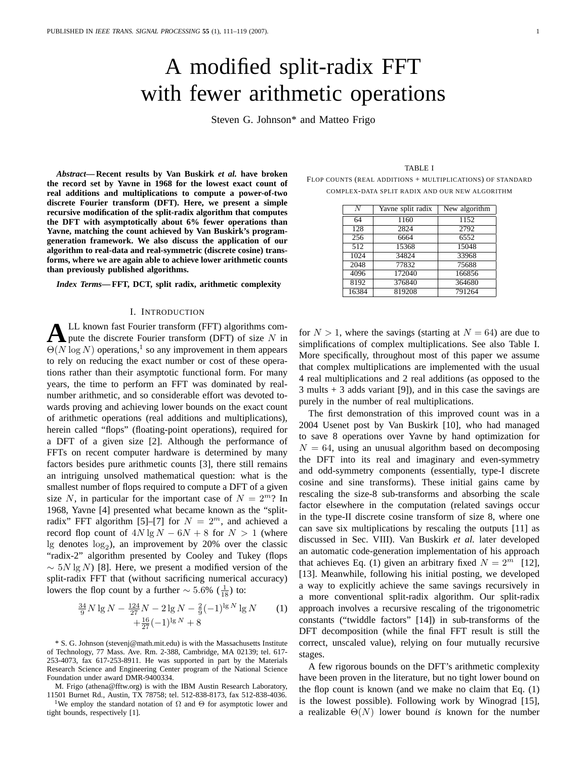# A modified split-radix FFT with fewer arithmetic operations

Steven G. Johnson\* and Matteo Frigo

*Abstract***— Recent results by Van Buskirk** *et al.* **have broken the record set by Yavne in 1968 for the lowest exact count of real additions and multiplications to compute a power-of-two discrete Fourier transform (DFT). Here, we present a simple recursive modification of the split-radix algorithm that computes the DFT with asymptotically about 6% fewer operations than Yavne, matching the count achieved by Van Buskirk's programgeneration framework. We also discuss the application of our algorithm to real-data and real-symmetric (discrete cosine) transforms, where we are again able to achieve lower arithmetic counts than previously published algorithms.**

*Index Terms***— FFT, DCT, split radix, arithmetic complexity**

## I. INTRODUCTION

 $\bf{A}$  LL known fast Fourier transform (FFT) algorithms compute the discrete Fourier transform (DFT) of size N in LL known fast Fourier transform (FFT) algorithms com- $\Theta(N \log N)$  operations,<sup>1</sup> so any improvement in them appears to rely on reducing the exact number or cost of these operations rather than their asymptotic functional form. For many years, the time to perform an FFT was dominated by realnumber arithmetic, and so considerable effort was devoted towards proving and achieving lower bounds on the exact count of arithmetic operations (real additions and multiplications), herein called "flops" (floating-point operations), required for a DFT of a given size [2]. Although the performance of FFTs on recent computer hardware is determined by many factors besides pure arithmetic counts [3], there still remains an intriguing unsolved mathematical question: what is the smallest number of flops required to compute a DFT of a given size N, in particular for the important case of  $N = 2^m$ ? In 1968, Yavne [4] presented what became known as the "splitradix" FFT algorithm [5]–[7] for  $N = 2<sup>m</sup>$ , and achieved a record flop count of  $4N \lg N - 6N + 8$  for  $N > 1$  (where lg denotes  $log_2$ ), an improvement by 20% over the classic "radix-2" algorithm presented by Cooley and Tukey (flops  $\sim$  5N lg N) [8]. Here, we present a modified version of the split-radix FFT that (without sacrificing numerical accuracy) lowers the flop count by a further  $\sim 5.6\%~(\frac{1}{18})$  to:

$$
\frac{34}{9}N \lg N - \frac{124}{27}N - 2\lg N - \frac{2}{9}(-1)^{\lg N} \lg N \qquad (1)
$$

$$
+ \frac{16}{27}(-1)^{\lg N} + 8
$$

\* S. G. Johnson (stevenj@math.mit.edu) is with the Massachusetts Institute of Technology, 77 Mass. Ave. Rm. 2-388, Cambridge, MA 02139; tel. 617- 253-4073, fax 617-253-8911. He was supported in part by the Materials Research Science and Engineering Center program of the National Science Foundation under award DMR-9400334.

M. Frigo (athena@fftw.org) is with the IBM Austin Research Laboratory, 11501 Burnet Rd., Austin, TX 78758; tel. 512-838-8173, fax 512-838-4036.

<sup>1</sup>We employ the standard notation of  $\Omega$  and  $\Theta$  for asymptotic lower and tight bounds, respectively [1].

|--|--|

FLOP COUNTS (REAL ADDITIONS + MULTIPLICATIONS) OF STANDARD COMPLEX-DATA SPLIT RADIX AND OUR NEW ALGORITHM

| $\bar{N}$ | Yavne split radix | New algorithm |
|-----------|-------------------|---------------|
| 64        | 1160              | 1152          |
| 128       | 2824              | 2792          |
| 256       | 6664              | 6552          |
| 512       | 15368             | 15048         |
| 1024      | 34824             | 33968         |
| 2048      | 77832             | 75688         |
| 4096      | 172040            | 166856        |
| 8192      | 376840            | 364680        |
| 16384     | 819208            | 791264        |

for  $N > 1$ , where the savings (starting at  $N = 64$ ) are due to simplifications of complex multiplications. See also Table I. More specifically, throughout most of this paper we assume that complex multiplications are implemented with the usual 4 real multiplications and 2 real additions (as opposed to the 3 mults + 3 adds variant [9]), and in this case the savings are purely in the number of real multiplications.

The first demonstration of this improved count was in a 2004 Usenet post by Van Buskirk [10], who had managed to save 8 operations over Yavne by hand optimization for  $N = 64$ , using an unusual algorithm based on decomposing the DFT into its real and imaginary and even-symmetry and odd-symmetry components (essentially, type-I discrete cosine and sine transforms). These initial gains came by rescaling the size-8 sub-transforms and absorbing the scale factor elsewhere in the computation (related savings occur in the type-II discrete cosine transform of size 8, where one can save six multiplications by rescaling the outputs [11] as discussed in Sec. VIII). Van Buskirk *et al.* later developed an automatic code-generation implementation of his approach that achieves Eq. (1) given an arbitrary fixed  $N = 2^m$  [12], [13]. Meanwhile, following his initial posting, we developed a way to explicitly achieve the same savings recursively in a more conventional split-radix algorithm. Our split-radix approach involves a recursive rescaling of the trigonometric constants ("twiddle factors" [14]) in sub-transforms of the DFT decomposition (while the final FFT result is still the correct, unscaled value), relying on four mutually recursive stages.

A few rigorous bounds on the DFT's arithmetic complexity have been proven in the literature, but no tight lower bound on the flop count is known (and we make no claim that Eq. (1) is the lowest possible). Following work by Winograd [15], a realizable Θ(N) lower bound *is* known for the number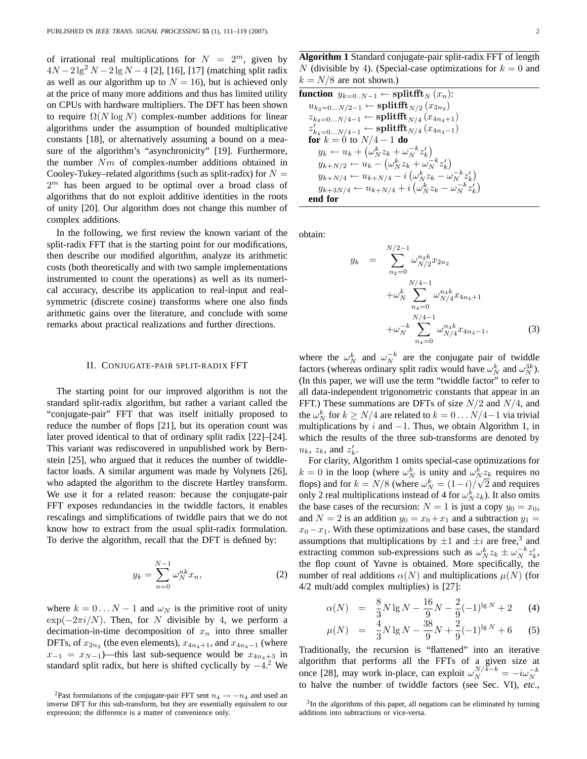of irrational real multiplications for  $N = 2^m$ , given by  $4N - 2 \lg^2 N - 2 \lg N - 4$  [2], [16], [17] (matching split radix as well as our algorithm up to  $N = 16$ ), but is achieved only at the price of many more additions and thus has limited utility on CPUs with hardware multipliers. The DFT has been shown to require  $\Omega(N \log N)$  complex-number additions for linear algorithms under the assumption of bounded multiplicative constants [18], or alternatively assuming a bound on a measure of the algorithm's "asynchronicity" [19]. Furthermore, the number  $Nm$  of complex-number additions obtained in Cooley-Tukey–related algorithms (such as split-radix) for  $N =$  $2<sup>m</sup>$  has been argued to be optimal over a broad class of algorithms that do not exploit additive identities in the roots of unity [20]. Our algorithm does not change this number of complex additions.

In the following, we first review the known variant of the split-radix FFT that is the starting point for our modifications, then describe our modified algorithm, analyze its arithmetic costs (both theoretically and with two sample implementations instrumented to count the operations) as well as its numerical accuracy, describe its application to real-input and realsymmetric (discrete cosine) transforms where one also finds arithmetic gains over the literature, and conclude with some remarks about practical realizations and further directions.

#### II. CONJUGATE-PAIR SPLIT-RADIX FFT

The starting point for our improved algorithm is not the standard split-radix algorithm, but rather a variant called the "conjugate-pair" FFT that was itself initially proposed to reduce the number of flops [21], but its operation count was later proved identical to that of ordinary split radix [22]–[24]. This variant was rediscovered in unpublished work by Bernstein [25], who argued that it reduces the number of twiddlefactor loads. A similar argument was made by Volynets [26], who adapted the algorithm to the discrete Hartley transform. We use it for a related reason: because the conjugate-pair FFT exposes redundancies in the twiddle factors, it enables rescalings and simplifications of twiddle pairs that we do not know how to extract from the usual split-radix formulation. To derive the algorithm, recall that the DFT is defined by:

$$
y_k = \sum_{n=0}^{N-1} \omega_N^{nk} x_n,
$$
 (2)

where  $k = 0...N - 1$  and  $\omega_N$  is the primitive root of unity  $\exp(-2\pi i/N)$ . Then, for N divisible by 4, we perform a decimation-in-time decomposition of  $x_n$  into three smaller DFTs, of  $x_{2n_2}$  (the even elements),  $x_{4n_4+1}$ , and  $x_{4n_4-1}$  (where  $x_{-1} = x_{N-1}$ )—this last sub-sequence would be  $x_{4n_4+3}$  in standard split radix, but here is shifted cyclically by  $-4$ <sup>2</sup>. We

function 
$$
y_{k=0..N-1} \leftarrow \text{splitfft}_{N}(x_n)
$$
:  
\n $u_{k_2=0...N/2-1} \leftarrow \text{splitfft}_{N/2}(x_{2n_2})$   
\n $z_{k_4=0...N/4-1} \leftarrow \text{splitfft}_{N/4}(x_{4n_4+1})$   
\n $z'_{k_4=0...N/4-1} \leftarrow \text{splitfft}_{N/4}(x_{4n_4-1})$   
\nfor  $k = 0$  to  $N/4 - 1$  do  
\n $y_k \leftarrow u_k + (\omega_N^k z_k + \omega_N^{-k} z'_k)$   
\n $y_{k+N/2} \leftarrow u_k - (\omega_N^k z_k + \omega_N^{-k} z'_k)$   
\n $y_{k+N/4} \leftarrow u_{k+N/4} - i (\omega_N^k z_k - \omega_N^{-k} z'_k)$   
\n $y_{k+3N/4} \leftarrow u_{k+N/4} + i (\omega_N^k z_k - \omega_N^{-k} z'_k)$   
\nend for

obtain:

$$
y_k = \sum_{n_2=0}^{N/2-1} \omega_{N/2}^{n_2 k} x_{2n_2}
$$
  
 
$$
+ \omega_N^k \sum_{n_4=0}^{N/4-1} \omega_{N/4}^{n_4 k} x_{4n_4+1}
$$
  
 
$$
+ \omega_N^{-k} \sum_{n_4=0}^{N/4-1} \omega_{N/4}^{n_4 k} x_{4n_4-1}, \qquad (3)
$$

where the  $\omega_N^k$  and  $\omega_N^{-k}$  are the conjugate pair of twiddle factors (whereas ordinary split radix would have  $\omega_N^k$  and  $\omega_N^{3k}$ ). (In this paper, we will use the term "twiddle factor" to refer to all data-independent trigonometric constants that appear in an FFT.) These summations are DFTs of size  $N/2$  and  $N/4$ , and the  $\omega_N^k$  for  $k \ge N/4$  are related to  $k = 0 \dots N/4-1$  via trivial multiplications by  $i$  and  $-1$ . Thus, we obtain Algorithm 1, in which the results of the three sub-transforms are denoted by  $u_k$ ,  $z_k$ , and  $z'_k$ .

For clarity, Algorithm 1 omits special-case optimizations for  $k = 0$  in the loop (where  $\omega_N^k$  is unity and  $\omega_N^k z_k$  requires no flops) and for  $k = N/8$  (where  $\omega_N^k = (1 - i)/\sqrt{2}$  and requires only 2 real multiplications instead of 4 for  $\omega_N^k z_k$ ). It also omits the base cases of the recursion:  $N = 1$  is just a copy  $y_0 = x_0$ , and  $N = 2$  is an addition  $y_0 = x_0 + x_1$  and a subtraction  $y_1 =$  $x_0-x_1$ . With these optimizations and base cases, the standard assumptions that multiplications by  $\pm 1$  and  $\pm i$  are free,<sup>3</sup> and extracting common sub-expressions such as  $\omega_N^k z_k \pm \omega_N^{-k} z'_k$ , the flop count of Yavne is obtained. More specifically, the number of real additions  $\alpha(N)$  and multiplications  $\mu(N)$  (for 4/2 mult/add complex multiplies) is [27]:

$$
\alpha(N) = \frac{8}{3}N \lg N - \frac{16}{9}N - \frac{2}{9}(-1)^{\lg N} + 2 \tag{4}
$$

$$
\mu(N) = \frac{4}{3}N \lg N - \frac{38}{9}N + \frac{2}{9}(-1)^{\lg N} + 6 \tag{5}
$$

Traditionally, the recursion is "flattened" into an iterative algorithm that performs all the FFTs of a given size at once [28], may work in-place, can exploit  $\omega_N^{N/\bar{4}-k} = -i\omega_N^{-k}$ to halve the number of twiddle factors (see Sec. VI), *etc*.,

<sup>&</sup>lt;sup>2</sup>Past formulations of the conjugate-pair FFT sent  $n_4 \rightarrow -n_4$  and used an inverse DFT for this sub-transform, but they are essentially equivalent to our expression; the difference is a matter of convenience only.

**Algorithm 1** Standard conjugate-pair split-radix FFT of length N (divisible by 4). (Special-case optimizations for  $k = 0$  and  $k = N/8$  are not shown.)

<sup>&</sup>lt;sup>3</sup>In the algorithms of this paper, all negations can be eliminated by turning additions into subtractions or vice-versa.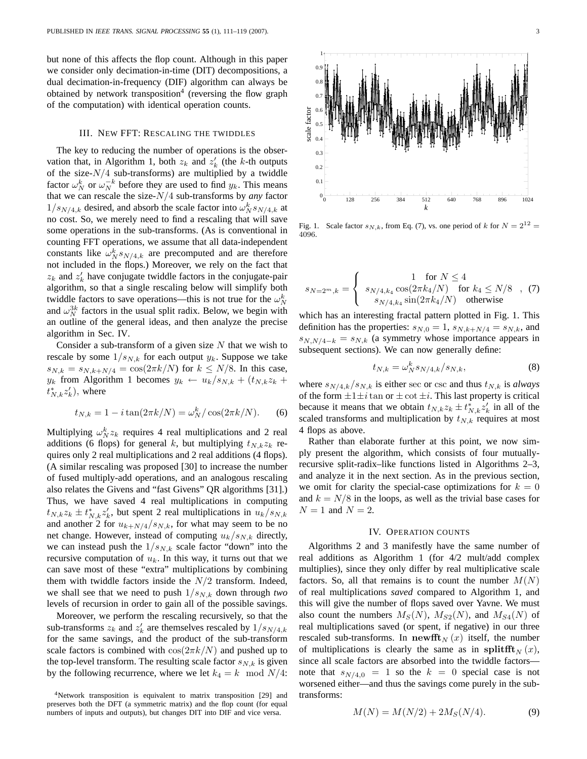but none of this affects the flop count. Although in this paper we consider only decimation-in-time (DIT) decompositions, a dual decimation-in-frequency (DIF) algorithm can always be obtained by network transposition<sup>4</sup> (reversing the flow graph of the computation) with identical operation counts.

#### III. NEW FFT: RESCALING THE TWIDDLES

The key to reducing the number of operations is the observation that, in Algorithm 1, both  $z_k$  and  $z'_k$  (the k-th outputs of the size- $N/4$  sub-transforms) are multiplied by a twiddle factor  $\omega_N^k$  or  $\omega_N^{-k}$  before they are used to find  $y_k$ . This means that we can rescale the size-N/4 sub-transforms by *any* factor  $1/s_{N/4,k}$  desired, and absorb the scale factor into  $\omega_N^k s_{N/4,k}$  at no cost. So, we merely need to find a rescaling that will save some operations in the sub-transforms. (As is conventional in counting FFT operations, we assume that all data-independent constants like  $\omega_N^k s_{N/4,k}$  are precomputed and are therefore not included in the flops.) Moreover, we rely on the fact that  $z_k$  and  $z'_k$  have conjugate twiddle factors in the conjugate-pair algorithm, so that a single rescaling below will simplify both twiddle factors to save operations—this is not true for the  $\omega_N^k$ and  $\omega_N^{3k}$  factors in the usual split radix. Below, we begin with an outline of the general ideas, and then analyze the precise algorithm in Sec. IV.

Consider a sub-transform of a given size  $N$  that we wish to rescale by some  $1/s_{N,k}$  for each output  $y_k$ . Suppose we take  $s_{N,k} = s_{N,k+N/4} = \cos(2\pi k/N)$  for  $k \leq N/8$ . In this case,  $y_k$  from Algorithm 1 becomes  $y_k \leftarrow u_k / s_{N,k} + (t_{N,k} z_k + t_{N,k})$  $t_{N,k}^* z_k'$ ), where

$$
t_{N,k} = 1 - i \tan(2\pi k/N) = \omega_N^k / \cos(2\pi k/N).
$$
 (6)

Multiplying  $\omega_N^k z_k$  requires 4 real multiplications and 2 real additions (6 flops) for general k, but multiplying  $t_{N,k}z_k$  requires only 2 real multiplications and 2 real additions (4 flops). (A similar rescaling was proposed [30] to increase the number of fused multiply-add operations, and an analogous rescaling also relates the Givens and "fast Givens" QR algorithms [31].) Thus, we have saved 4 real multiplications in computing  $t_{N,k}z_k \pm t_{N,k}^*z'_k$ , but spent 2 real multiplications in  $u_k/s_{N,k}$ and another 2 for  $u_{k+N/4}/s_{N,k}$ , for what may seem to be no net change. However, instead of computing  $u_k/s_{N,k}$  directly, we can instead push the  $1/s_{N,k}$  scale factor "down" into the recursive computation of  $u_k$ . In this way, it turns out that we can save most of these "extra" multiplications by combining them with twiddle factors inside the  $N/2$  transform. Indeed, we shall see that we need to push  $1/s_{N,k}$  down through *two* levels of recursion in order to gain all of the possible savings.

Moreover, we perform the rescaling recursively, so that the sub-transforms  $z_k$  and  $z'_k$  are themselves rescaled by  $1/s_{N/4,k}$ for the same savings, and the product of the sub-transform scale factors is combined with  $\cos(2\pi k/N)$  and pushed up to the top-level transform. The resulting scale factor  $s_{N,k}$  is given by the following recurrence, where we let  $k_4 = k \mod N/4$ :



Fig. 1. Scale factor  $s_{N,k}$ , from Eq. (7), vs. one period of k for  $N = 2^{12} =$ 4096.

$$
s_{N=2^m,k} = \begin{cases} 1 & \text{for } N \le 4\\ s_{N/4,k_4} \cos(2\pi k_4/N) & \text{for } k_4 \le N/8\\ s_{N/4,k_4} \sin(2\pi k_4/N) & \text{otherwise} \end{cases}, (7)
$$

which has an interesting fractal pattern plotted in Fig. 1. This definition has the properties:  $s_{N,0} = 1$ ,  $s_{N,k+N/4} = s_{N,k}$ , and  $s_{N,N/4-k} = s_{N,k}$  (a symmetry whose importance appears in subsequent sections). We can now generally define:

$$
t_{N,k} = \omega_N^k s_{N/4,k} / s_{N,k},\tag{8}
$$

where  $s_{N/4,k}/s_{N,k}$  is either sec or csc and thus  $t_{N,k}$  is *always* of the form  $\pm 1 \pm i$  tan or  $\pm \cot \pm i$ . This last property is critical because it means that we obtain  $t_{N,k}z_k \pm t_{N,k}^*z'_k$  in all of the scaled transforms and multiplication by  $t_{N,k}$  requires at most 4 flops as above.

Rather than elaborate further at this point, we now simply present the algorithm, which consists of four mutuallyrecursive split-radix–like functions listed in Algorithms 2–3, and analyze it in the next section. As in the previous section, we omit for clarity the special-case optimizations for  $k = 0$ and  $k = N/8$  in the loops, as well as the trivial base cases for  $N = 1$  and  $N = 2$ .

#### IV. OPERATION COUNTS

Algorithms 2 and 3 manifestly have the same number of real additions as Algorithm 1 (for 4/2 mult/add complex multiplies), since they only differ by real multiplicative scale factors. So, all that remains is to count the number  $M(N)$ of real multiplications *saved* compared to Algorithm 1, and this will give the number of flops saved over Yavne. We must also count the numbers  $M_S(N)$ ,  $M_{S2}(N)$ , and  $M_{S4}(N)$  of real multiplications saved (or spent, if negative) in our three rescaled sub-transforms. In newfft<sub>N</sub> (x) itself, the number of multiplications is clearly the same as in splitflet  $\mathbf{r}_N(x)$ , since all scale factors are absorbed into the twiddle factors note that  $s_{N/4,0} = 1$  so the  $k = 0$  special case is not worsened either—and thus the savings come purely in the subtransforms:

$$
M(N) = M(N/2) + 2M_S(N/4). \tag{9}
$$

<sup>&</sup>lt;sup>4</sup>Network transposition is equivalent to matrix transposition [29] and preserves both the DFT (a symmetric matrix) and the flop count (for equal numbers of inputs and outputs), but changes DIT into DIF and vice versa.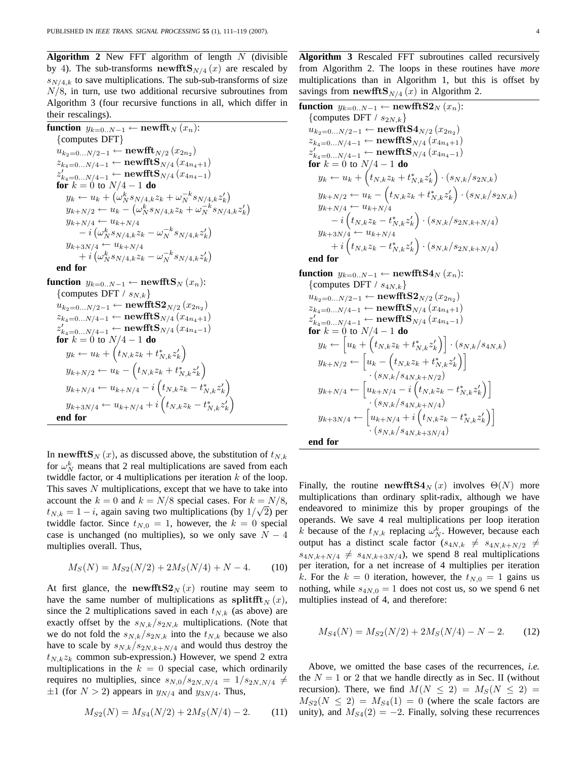**Algorithm 2** New FFT algorithm of length  $N$  (divisible by 4). The sub-transforms newfft  $\mathbf{S}_{N/4}(x)$  are rescaled by  $s_{N/4,k}$  to save multiplications. The sub-sub-transforms of size  $N/8$ , in turn, use two additional recursive subroutines from Algorithm 3 (four recursive functions in all, which differ in their rescalings).

function 
$$
y_{k=0..N-1}
$$
  $\leftarrow$  newfft<sub>N</sub>  $(x_n)$ :  
\n{computes DFT}  
\n $u_{k_2=0...N/2-1}$   $\leftarrow$  newfft<sub>N/2</sub>  $(x_{2n_2})$   
\n $z_{k_4=0...N/4-1}$   $\leftarrow$  newfft<sub>N/4</sub>  $(x_{4n_4+1})$   
\n $z'_{k_4=0...N/4-1}$   $\leftarrow$  newfft<sub>N/4</sub>  $(x_{4n_4-1})$   
\nfor  $k = 0$  to  $N/4 - 1$  do  
\n $y_k \leftarrow u_k + (\omega_N^k s_{N/4,k} z_k + \omega_N^{-k} s_{N/4,k} z'_k)$   
\n $y_{k+N/2} \leftarrow u_k - (\omega_N^k s_{N/4,k} z_k + \omega_N^{-k} s_{N/4,k} z'_k)$   
\n $y_{k+N/4} \leftarrow u_{k+N/4}$   
\n $\leftarrow i (\omega_N^k s_{N/4,k} z_k - \omega_N^{-k} s_{N/4,k} z'_k)$   
\nend for  
\nfunction  $y_{k=0..N-1}$   $\leftarrow$  newfft<sub>N</sub>  $(x_n)$ :  
\n{computes DFT /  $s_{N,k}$ }  
\n $u_{k_2=0...N/2-1}$   $\leftarrow$  newfft<sub>N/4</sub>  $(x_{4n_4+1})$   
\n $z'_{k_4=0...N/4-1}$   $\leftarrow$  newfft<sub>N/4</sub>  $(x_{4n_4+1})$   
\n $z'_{k_4=0...N/4-1}$   $\leftarrow$  newfft<sub>N/4</sub>  $(x_{4n_4+1})$   
\nfor  $k = 0$  to  $N/4 - 1$  do  
\n $y_k \leftarrow u_k + (t_{N,k} z_k + t_{N,k}^* z'_k)$   
\n $y_{k+N/2} \leftarrow u_k - (t_{N,k} z_k + t_{N,k}^* z'_k)$   
\n $y_{k+N/4} \leftarrow u_{k+N/4} - i ($ 

In newfft $\mathbf{S}_{N}(x)$ , as discussed above, the substitution of  $t_{N,k}$ for  $\omega_N^k$  means that 2 real multiplications are saved from each twiddle factor, or 4 multiplications per iteration  $k$  of the loop. This saves  $N$  multiplications, except that we have to take into account the  $k = 0$  and  $k = N/8$  special cases. For  $k = N/8$ ,  $t_{N,k} = 1 - i$ , again saving two multiplications (by  $1/\sqrt{2}$ ) per twiddle factor. Since  $t_{N,0} = 1$ , however, the  $k = 0$  special case is unchanged (no multiplies), so we only save  $N - 4$ multiplies overall. Thus,

$$
M_S(N) = M_{S2}(N/2) + 2M_S(N/4) + N - 4.
$$
 (10)

At first glance, the newfft  $S2<sub>N</sub>(x)$  routine may seem to have the same number of multiplications as splitfft<sub>N</sub>  $(x)$ , since the 2 multiplications saved in each  $t_{N,k}$  (as above) are exactly offset by the  $s_{N,k}/s_{2N,k}$  multiplications. (Note that we do not fold the  $s_{N,k}/s_{2N,k}$  into the  $t_{N,k}$  because we also have to scale by  $s_{N,k}/s_{2N,k+N/4}$  and would thus destroy the  $t_{N,k}z_k$  common sub-expression.) However, we spend 2 extra multiplications in the  $k = 0$  special case, which ordinarily requires no multiplies, since  $s_{N,0}/s_{2N,N/4} = 1/s_{2N,N/4} \neq$  $\pm 1$  (for  $N > 2$ ) appears in  $y_{N/4}$  and  $y_{3N/4}$ . Thus,

$$
M_{S2}(N) = M_{S4}(N/2) + 2M_S(N/4) - 2.
$$
 (11)

**Algorithm 3** Rescaled FFT subroutines called recursively from Algorithm 2. The loops in these routines have *more* multiplications than in Algorithm 1, but this is offset by savings from newfft $\mathbf{S}_{N/4}(x)$  in Algorithm 2.

function 
$$
y_{k=0..N-1} \leftarrow
$$
 newfftS2<sub>N</sub>  $(x_n)$ :  
\n{computes DFT /  $s_{2N,k}$ }  
\n $u_{k_2=0...N/2-1} \leftarrow$  newfftS4<sub>N/2</sub>  $(x_{2n_2})$   
\n $z_{k_4=0...N/4-1} \leftarrow$  newfftS<sub>N/4</sub>  $(x_{4n_4+1})$   
\n $z'_{k_4=0...N/4-1} \leftarrow$  newfftS<sub>N/4</sub>  $(x_{4n_4-1})$   
\nfor  $k = 0$  to  $N/4 - 1$  do  
\n $y_k \leftarrow u_k + (t_{N,k}z_k + t_{N,k}^*z'_k) \cdot (s_{N,k}/s_{2N,k})$   
\n $y_{k+N/2} \leftarrow u_k - (t_{N,k}z_k + t_{N,k}^*z'_k) \cdot (s_{N,k}/s_{2N,k})$   
\n $y_{k+N/4} \leftarrow u_{k+N/4}$   
\n $- i (t_{N,k}z_k - t_{N,k}^*z'_k) \cdot (s_{N,k}/s_{2N,k+N/4})$   
\n $y_{k+3N/4} \leftarrow u_{k+N/4}$   
\n $+ i (t_{N,k}z_k - t_{N,k}^*z'_k) \cdot (s_{N,k}/s_{2N,k+N/4})$   
\nend for  
\nfunction  $y_{k=0..N-1} \leftarrow$  newfftS4<sub>N</sub>  $(x_n)$ :  
\n{computes DFT /  $s_{4N,k}$ }  
\n $u_{k_2=0...N/2-1} \leftarrow$  newfftS<sub>N/4</sub>  $(x_{4n_4+1})$   
\n $z'_{k_4=0...N/4-1} \leftarrow$  newfftS<sub>N/4</sub>  $(x_{4n_4-1})$   
\nfor  $k = 0$  to  $N/4 - 1$  do  
\n $y_k \leftarrow [u_k + (t_{N,k}z_k + t_{N,k}^*z'_k)] \cdot (s_{N,k}/s_{4N,k})$   
\n $y_{k+N/2} \leftarrow [u_k - (t$ 

Finally, the routine newfftS $4_N(x)$  involves  $\Theta(N)$  more multiplications than ordinary split-radix, although we have endeavored to minimize this by proper groupings of the operands. We save 4 real multiplications per loop iteration k because of the  $t_{N,k}$  replacing  $\omega_N^k$ . However, because each output has a distinct scale factor  $(s_{4N,k} \neq s_{4N,k+N/2} \neq$  $s_{4N,k+N/4} \neq s_{4N,k+3N/4}$ , we spend 8 real multiplications per iteration, for a net increase of 4 multiplies per iteration k. For the  $k = 0$  iteration, however, the  $t_{N,0} = 1$  gains us nothing, while  $s_{4N,0} = 1$  does not cost us, so we spend 6 net multiplies instead of 4, and therefore:

$$
M_{S4}(N) = M_{S2}(N/2) + 2M_S(N/4) - N - 2. \tag{12}
$$

Above, we omitted the base cases of the recurrences, *i.e.* the  $N = 1$  or 2 that we handle directly as in Sec. II (without recursion). There, we find  $M(N \leq 2) = M<sub>S</sub>(N \leq 2)$  $M_{S2}(N \leq 2) = M_{S4}(1) = 0$  (where the scale factors are unity), and  $M_{S4}(2) = -2$ . Finally, solving these recurrences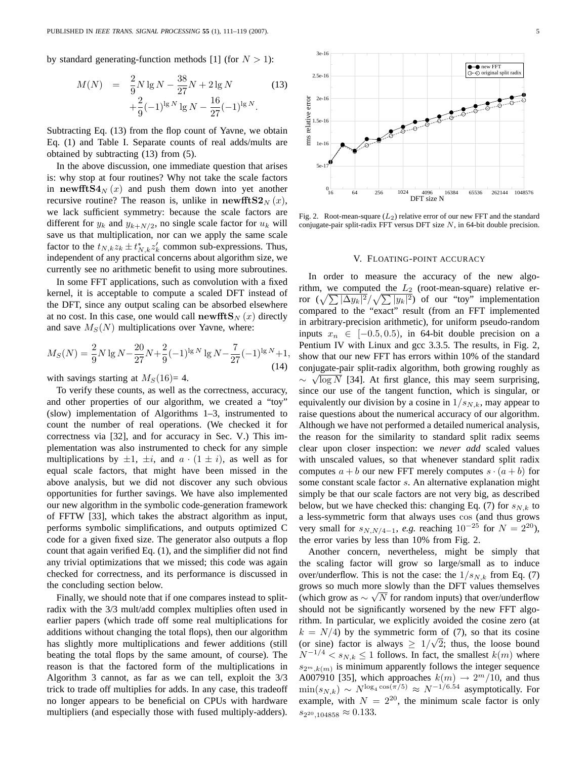by standard generating-function methods [1] (for  $N > 1$ ):

$$
M(N) = \frac{2}{9}N \lg N - \frac{38}{27}N + 2 \lg N
$$
  
+ 
$$
\frac{2}{9}(-1)^{\lg N} \lg N - \frac{16}{27}(-1)^{\lg N}.
$$
 (13)

Subtracting Eq. (13) from the flop count of Yavne, we obtain Eq. (1) and Table I. Separate counts of real adds/mults are obtained by subtracting (13) from (5).

In the above discussion, one immediate question that arises is: why stop at four routines? Why not take the scale factors in newfft $S4_N(x)$  and push them down into yet another recursive routine? The reason is, unlike in newfft  $S2<sub>N</sub>(x)$ , we lack sufficient symmetry: because the scale factors are different for  $y_k$  and  $y_{k+N/2}$ , no single scale factor for  $u_k$  will save us that multiplication, nor can we apply the same scale factor to the  $t_{N,k}z_k \pm t_{N,k}^*z'_k$  common sub-expressions. Thus, independent of any practical concerns about algorithm size, we currently see no arithmetic benefit to using more subroutines.

In some FFT applications, such as convolution with a fixed kernel, it is acceptable to compute a scaled DFT instead of the DFT, since any output scaling can be absorbed elsewhere at no cost. In this case, one would call newfft  $\mathbf{S}_{N}(x)$  directly and save  $M_S(N)$  multiplications over Yavne, where:

$$
M_S(N) = \frac{2}{9}N \lg N - \frac{20}{27}N + \frac{2}{9}(-1)^{\lg N} \lg N - \frac{7}{27}(-1)^{\lg N} + 1,
$$
\n(14)

with savings starting at  $M<sub>S</sub>(16)=4$ .

To verify these counts, as well as the correctness, accuracy, and other properties of our algorithm, we created a "toy" (slow) implementation of Algorithms 1–3, instrumented to count the number of real operations. (We checked it for correctness via [32], and for accuracy in Sec. V.) This implementation was also instrumented to check for any simple multiplications by  $\pm 1$ ,  $\pm i$ , and  $a \cdot (1 \pm i)$ , as well as for equal scale factors, that might have been missed in the above analysis, but we did not discover any such obvious opportunities for further savings. We have also implemented our new algorithm in the symbolic code-generation framework of FFTW [33], which takes the abstract algorithm as input, performs symbolic simplifications, and outputs optimized C code for a given fixed size. The generator also outputs a flop count that again verified Eq. (1), and the simplifier did not find any trivial optimizations that we missed; this code was again checked for correctness, and its performance is discussed in the concluding section below.

Finally, we should note that if one compares instead to splitradix with the 3/3 mult/add complex multiplies often used in earlier papers (which trade off some real multiplications for additions without changing the total flops), then our algorithm has slightly more multiplications and fewer additions (still beating the total flops by the same amount, of course). The reason is that the factored form of the multiplications in Algorithm 3 cannot, as far as we can tell, exploit the 3/3 trick to trade off multiplies for adds. In any case, this tradeoff no longer appears to be beneficial on CPUs with hardware multipliers (and especially those with fused multiply-adders).



Fig. 2. Root-mean-square  $(L_2)$  relative error of our new FFT and the standard conjugate-pair split-radix FFT versus DFT size  $N$ , in 64-bit double precision.

## V. FLOATING-POINT ACCURACY

In order to measure the accuracy of the new algorithm, we computed the  $L_2$  (root-mean-square) relative error  $(\sqrt{\sum |\Delta y_k|^2}/\sqrt{\sum |y_k|^2})$  of our "toy" implementation compared to the "exact" result (from an FFT implemented in arbitrary-precision arithmetic), for uniform pseudo-random inputs  $x_n \in [-0.5, 0.5)$ , in 64-bit double precision on a Pentium IV with Linux and gcc 3.3.5. The results, in Fig. 2, show that our new FFT has errors within 10% of the standard conjugate-pair split-radix algorithm, both growing roughly as √  $\sim \sqrt{\log N}$  [34]. At first glance, this may seem surprising, since our use of the tangent function, which is singular, or equivalently our division by a cosine in  $1/s_{N,k}$ , may appear to raise questions about the numerical accuracy of our algorithm. Although we have not performed a detailed numerical analysis, the reason for the similarity to standard split radix seems clear upon closer inspection: we *never add* scaled values with unscaled values, so that whenever standard split radix computes  $a + b$  our new FFT merely computes  $s \cdot (a + b)$  for some constant scale factor s. An alternative explanation might simply be that our scale factors are not very big, as described below, but we have checked this: changing Eq. (7) for  $s_{N,k}$  to a less-symmetric form that always uses cos (and thus grows very small for  $s_{N,N/4-1}$ , *e.g.* reaching  $10^{-25}$  for  $N = 2^{20}$ ), the error varies by less than 10% from Fig. 2.

Another concern, nevertheless, might be simply that the scaling factor will grow so large/small as to induce over/underflow. This is not the case: the  $1/s_{N,k}$  from Eq. (7) grows so much more slowly than the DFT values themselves (which grow as  $\sim \sqrt{N}$  for random inputs) that over/underflow should not be significantly worsened by the new FFT algorithm. In particular, we explicitly avoided the cosine zero (at  $k = N/4$ ) by the symmetric form of (7), so that its cosine (or sine) factor is always  $\geq 1/\sqrt{2}$ ; thus, the loose bound  $N^{-1/4} < s_{N,k} \leq 1$  follows. In fact, the smallest  $k(m)$  where  $s_{2^m,k(m)}$  is minimum apparently follows the integer sequence A007910 [35], which approaches  $k(m) \rightarrow 2<sup>m</sup>/10$ , and thus  $\min(s_{N,k}) \sim N^{\log_4 \cos(\pi/5)} \approx N^{-1/6.54}$  asymptotically. For example, with  $N = 2^{20}$ , the minimum scale factor is only  $s_{2^{20},104858} \approx 0.133.$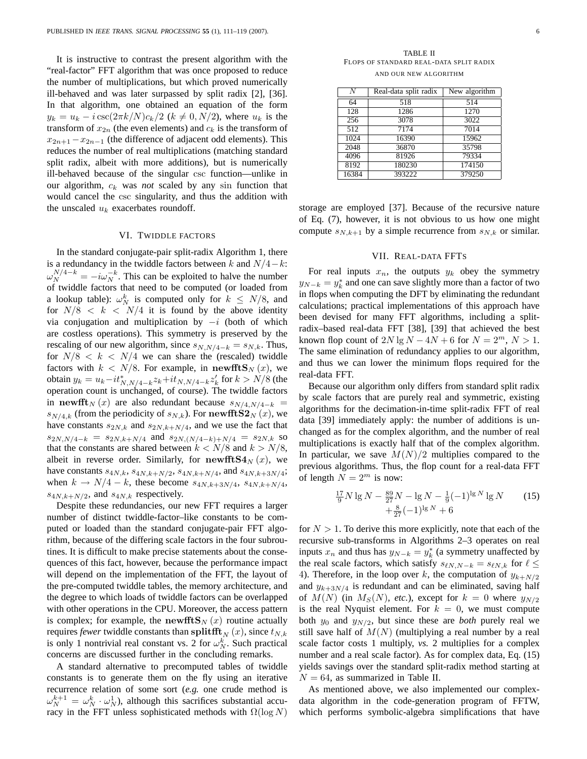It is instructive to contrast the present algorithm with the "real-factor" FFT algorithm that was once proposed to reduce the number of multiplications, but which proved numerically ill-behaved and was later surpassed by split radix [2], [36]. In that algorithm, one obtained an equation of the form  $y_k = u_k - i \csc(2\pi k/N)c_k/2$  ( $k \neq 0, N/2$ ), where  $u_k$  is the transform of  $x_{2n}$  (the even elements) and  $c_k$  is the transform of  $x_{2n+1}-x_{2n-1}$  (the difference of adjacent odd elements). This reduces the number of real multiplications (matching standard split radix, albeit with more additions), but is numerically ill-behaved because of the singular csc function—unlike in our algorithm,  $c_k$  was *not* scaled by any sin function that would cancel the csc singularity, and thus the addition with the unscaled  $u_k$  exacerbates roundoff.

## VI. TWIDDLE FACTORS

In the standard conjugate-pair split-radix Algorithm 1, there is a redundancy in the twiddle factors between k and  $N/4-k$ :  $\omega_N^{N/4-k} = -i\omega_N^{-k}$ . This can be exploited to halve the number of twiddle factors that need to be computed (or loaded from a lookup table):  $\omega_N^k$  is computed only for  $k \leq N/8$ , and for  $N/8 < k < N/4$  it is found by the above identity via conjugation and multiplication by  $-i$  (both of which are costless operations). This symmetry is preserved by the rescaling of our new algorithm, since  $s_{N,N/4-k} = s_{N,k}$ . Thus, for  $N/8 < k < N/4$  we can share the (rescaled) twiddle factors with  $k < N/8$ . For example, in newfft $\mathbf{S}_N(x)$ , we obtain  $y_k = u_k - i t_{N,N/4-k}^* z_k + i t_{N,N/4-k} z'_k$  for  $k > N/8$  (the operation count is unchanged, of course). The twiddle factors in newfft<sub>N</sub> (x) are also redundant because  $s_{N/4,N/4-k}$  =  $s_{N/4,k}$  (from the periodicity of  $s_{N,k}$ ). For newfft  $S2_N(x)$ , we have constants  $s_{2N,k}$  and  $s_{2N,k+N/4}$ , and we use the fact that  $s_{2N,N/4-k} = s_{2N,k+N/4}$  and  $s_{2N,(N/4-k)+N/4} = s_{2N,k}$  so that the constants are shared between  $k < N/8$  and  $k > N/8$ , albeit in reverse order. Similarly, for newfft  $S4_N(x)$ , we have constants  $s_{4N,k}$ ,  $s_{4N,k+N/2}$ ,  $s_{4N,k+N/4}$ , and  $s_{4N,k+3N/4}$ ; when  $k \to N/4 - k$ , these become  $s_{4N,k+3N/4}, s_{4N,k+N/4}$ ,  $s_{4N,k+N/2}$ , and  $s_{4N,k}$  respectively.

Despite these redundancies, our new FFT requires a larger number of distinct twiddle-factor–like constants to be computed or loaded than the standard conjugate-pair FFT algorithm, because of the differing scale factors in the four subroutines. It is difficult to make precise statements about the consequences of this fact, however, because the performance impact will depend on the implementation of the FFT, the layout of the pre-computed twiddle tables, the memory architecture, and the degree to which loads of twiddle factors can be overlapped with other operations in the CPU. Moreover, the access pattern is complex; for example, the newfft  $\mathbf{S}_N(x)$  routine actually requires *fewer* twiddle constants than splitfft<sub>N</sub> (x), since  $t_{N,k}$ is only 1 nontrivial real constant vs. 2 for  $\omega_N^k$ . Such practical concerns are discussed further in the concluding remarks.

A standard alternative to precomputed tables of twiddle constants is to generate them on the fly using an iterative recurrence relation of some sort (*e.g.* one crude method is  $\omega_N^{k+1} = \omega_N^k \cdot \omega_N^1$ , although this sacrifices substantial accuracy in the FFT unless sophisticated methods with  $\Omega(\log N)$ 

TABLE II FLOPS OF STANDARD REAL-DATA SPLIT RADIX AND OUR NEW ALGORITHM

| $\bar{N}$ | Real-data split radix | New algorithm      |
|-----------|-----------------------|--------------------|
| 64        | 518                   | 514                |
| 128       | 1286                  | 1270               |
| 256       | 3078                  | 3022               |
| 512       | 7174                  | $\overline{70}$ 14 |
| 1024      | 16390                 | 15962              |
| 2048      | 36870                 | 35798              |
| 4096      | 81926                 | 79334              |
| 8192      | 180230                | 174150             |
| 16384     | 393222                | 379250             |

storage are employed [37]. Because of the recursive nature of Eq. (7), however, it is not obvious to us how one might compute  $s_{N,k+1}$  by a simple recurrence from  $s_{N,k}$  or similar.

## VII. REAL-DATA FFTS

For real inputs  $x_n$ , the outputs  $y_k$  obey the symmetry  $y_{N-k} = y_k^*$  and one can save slightly more than a factor of two in flops when computing the DFT by eliminating the redundant calculations; practical implementations of this approach have been devised for many FFT algorithms, including a splitradix–based real-data FFT [38], [39] that achieved the best known flop count of  $2N \lg N - 4N + 6$  for  $N = 2^m$ ,  $N > 1$ . The same elimination of redundancy applies to our algorithm, and thus we can lower the minimum flops required for the real-data FFT.

Because our algorithm only differs from standard split radix by scale factors that are purely real and symmetric, existing algorithms for the decimation-in-time split-radix FFT of real data [39] immediately apply: the number of additions is unchanged as for the complex algorithm, and the number of real multiplications is exactly half that of the complex algorithm. In particular, we save  $M(N)/2$  multiplies compared to the previous algorithms. Thus, the flop count for a real-data FFT of length  $N = 2^m$  is now:

$$
\frac{17}{9}N \lg N - \frac{89}{27}N - \lg N - \frac{1}{9}(-1)^{\lg N} \lg N + \frac{8}{27}(-1)^{\lg N} + 6
$$
\n(15)

for  $N > 1$ . To derive this more explicitly, note that each of the recursive sub-transforms in Algorithms 2–3 operates on real inputs  $x_n$  and thus has  $y_{N-k} = y_k^*$  (a symmetry unaffected by the real scale factors, which satisfy  $s_{\ell N,N-k} = s_{\ell N,k}$  for  $\ell \leq$ 4). Therefore, in the loop over k, the computation of  $y_{k+N/2}$ and  $y_{k+3N/4}$  is redundant and can be eliminated, saving half of  $M(N)$  (in  $M_S(N)$ , *etc.*), except for  $k = 0$  where  $y_{N/2}$ is the real Nyquist element. For  $k = 0$ , we must compute both  $y_0$  and  $y_{N/2}$ , but since these are *both* purely real we still save half of  $M(N)$  (multiplying a real number by a real scale factor costs 1 multiply, *vs.* 2 multiplies for a complex number and a real scale factor). As for complex data, Eq.  $(15)$ yields savings over the standard split-radix method starting at  $N = 64$ , as summarized in Table II.

As mentioned above, we also implemented our complexdata algorithm in the code-generation program of FFTW, which performs symbolic-algebra simplifications that have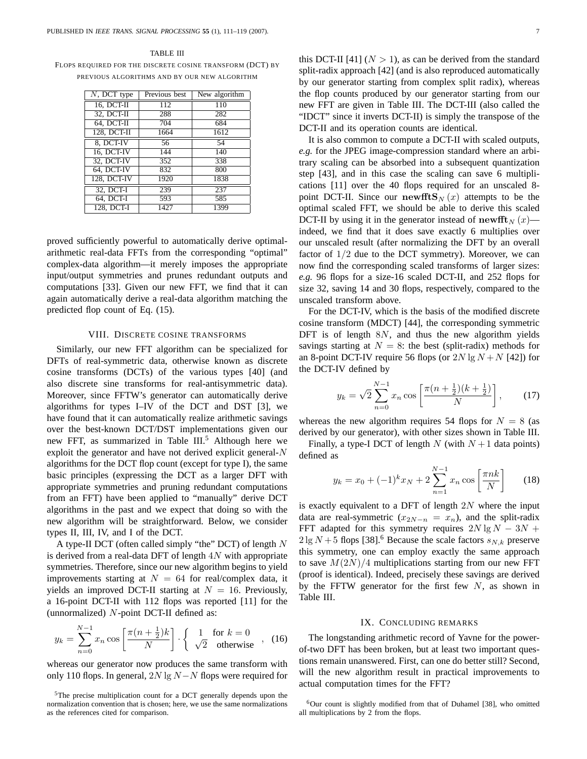TABLE III FLOPS REQUIRED FOR THE DISCRETE COSINE TRANSFORM (DCT) BY PREVIOUS ALGORITHMS AND BY OUR NEW ALGORITHM

| $\overline{N}$ , DCT type | Previous best | New algorithm |
|---------------------------|---------------|---------------|
| 16, DCT-II                | 112           | 110           |
| 32, DCT-II                | 288           | 282           |
| $64, DCT-II$              | 704           | 684           |
| 128, DCT-II               | 1664          | 1612          |
| 8. DCT-IV                 | 56            | 54            |
| 16, DCT-IV                | 144           | 140           |
| 32, DCT-IV                | 352           | 338           |
| 64, DCT-IV                | 832           | 800           |
| 128, DCT-IV               | 1920          | 1838          |
| $32, DCT-I$               | 239           | 237           |
| $64, DCT-I$               | 593           | 585           |
| 128, DCT-I                | 1427          | 1399          |

proved sufficiently powerful to automatically derive optimalarithmetic real-data FFTs from the corresponding "optimal" complex-data algorithm—it merely imposes the appropriate input/output symmetries and prunes redundant outputs and computations [33]. Given our new FFT, we find that it can again automatically derive a real-data algorithm matching the predicted flop count of Eq. (15).

## VIII. DISCRETE COSINE TRANSFORMS

Similarly, our new FFT algorithm can be specialized for DFTs of real-symmetric data, otherwise known as discrete cosine transforms (DCTs) of the various types [40] (and also discrete sine transforms for real-antisymmetric data). Moreover, since FFTW's generator can automatically derive algorithms for types I–IV of the DCT and DST [3], we have found that it can automatically realize arithmetic savings over the best-known DCT/DST implementations given our new FFT, as summarized in Table III.<sup>5</sup> Although here we exploit the generator and have not derived explicit general- $N$ algorithms for the DCT flop count (except for type I), the same basic principles (expressing the DCT as a larger DFT with appropriate symmetries and pruning redundant computations from an FFT) have been applied to "manually" derive DCT algorithms in the past and we expect that doing so with the new algorithm will be straightforward. Below, we consider types II, III, IV, and I of the DCT.

A type-II DCT (often called simply "the" DCT) of length N is derived from a real-data DFT of length  $4N$  with appropriate symmetries. Therefore, since our new algorithm begins to yield improvements starting at  $N = 64$  for real/complex data, it yields an improved DCT-II starting at  $N = 16$ . Previously, a 16-point DCT-II with 112 flops was reported [11] for the (unnormalized) N-point DCT-II defined as:

$$
y_k = \sum_{n=0}^{N-1} x_n \cos\left[\frac{\pi(n+\frac{1}{2})k}{N}\right] \cdot \left\{\begin{array}{ll} 1 & \text{for } k=0\\ \sqrt{2} & \text{otherwise} \end{array}\right.\right., \tag{16}
$$

whereas our generator now produces the same transform with only 110 flops. In general,  $2N \lg N - N$  flops were required for this DCT-II [41]  $(N > 1)$ , as can be derived from the standard split-radix approach [42] (and is also reproduced automatically by our generator starting from complex split radix), whereas the flop counts produced by our generator starting from our new FFT are given in Table III. The DCT-III (also called the "IDCT" since it inverts DCT-II) is simply the transpose of the DCT-II and its operation counts are identical.

It is also common to compute a DCT-II with scaled outputs, *e.g.* for the JPEG image-compression standard where an arbitrary scaling can be absorbed into a subsequent quantization step [43], and in this case the scaling can save 6 multiplications [11] over the 40 flops required for an unscaled 8 point DCT-II. Since our newfft $\mathbf{S}_{N}(x)$  attempts to be the optimal scaled FFT, we should be able to derive this scaled DCT-II by using it in the generator instead of newfit  $N(x)$  indeed, we find that it does save exactly 6 multiplies over our unscaled result (after normalizing the DFT by an overall factor of  $1/2$  due to the DCT symmetry). Moreover, we can now find the corresponding scaled transforms of larger sizes: *e.g.* 96 flops for a size-16 scaled DCT-II, and 252 flops for size 32, saving 14 and 30 flops, respectively, compared to the unscaled transform above.

For the DCT-IV, which is the basis of the modified discrete cosine transform (MDCT) [44], the corresponding symmetric DFT is of length  $8N$ , and thus the new algorithm yields savings starting at  $N = 8$ : the best (split-radix) methods for an 8-point DCT-IV require 56 flops (or  $2N \lg N + N$  [42]) for the DCT-IV defined by

$$
y_k = \sqrt{2} \sum_{n=0}^{N-1} x_n \cos\left[\frac{\pi(n+\frac{1}{2})(k+\frac{1}{2})}{N}\right],\qquad(17)
$$

whereas the new algorithm requires 54 flops for  $N = 8$  (as derived by our generator), with other sizes shown in Table III.

Finally, a type-I DCT of length N (with  $N + 1$  data points) defined as

$$
y_k = x_0 + (-1)^k x_N + 2 \sum_{n=1}^{N-1} x_n \cos\left[\frac{\pi n k}{N}\right]
$$
 (18)

is exactly equivalent to a DFT of length  $2N$  where the input data are real-symmetric  $(x_{2N-n} = x_n)$ , and the split-radix FFT adapted for this symmetry requires  $2N \lg N - 3N +$  $2 \lg N + 5$  flops [38].<sup>6</sup> Because the scale factors  $s_{N,k}$  preserve this symmetry, one can employ exactly the same approach to save  $M(2N)/4$  multiplications starting from our new FFT (proof is identical). Indeed, precisely these savings are derived by the FFTW generator for the first few  $N$ , as shown in Table III.

## IX. CONCLUDING REMARKS

The longstanding arithmetic record of Yavne for the powerof-two DFT has been broken, but at least two important questions remain unanswered. First, can one do better still? Second, will the new algorithm result in practical improvements to actual computation times for the FFT?

<sup>&</sup>lt;sup>5</sup>The precise multiplication count for a DCT generally depends upon the normalization convention that is chosen; here, we use the same normalizations as the references cited for comparison.

 $6$ Our count is slightly modified from that of Duhamel [38], who omitted all multiplications by 2 from the flops.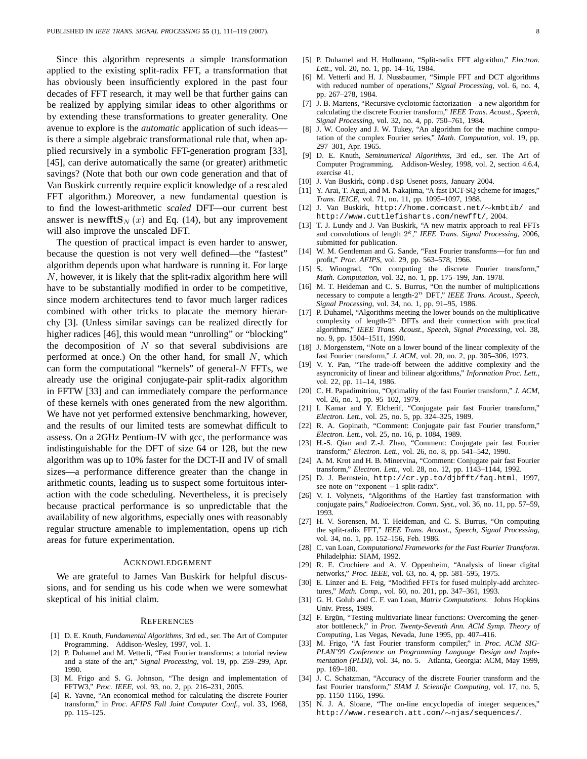Since this algorithm represents a simple transformation applied to the existing split-radix FFT, a transformation that has obviously been insufficiently explored in the past four decades of FFT research, it may well be that further gains can be realized by applying similar ideas to other algorithms or by extending these transformations to greater generality. One avenue to explore is the *automatic* application of such ideas is there a simple algebraic transformational rule that, when applied recursively in a symbolic FFT-generation program [33], [45], can derive automatically the same (or greater) arithmetic savings? (Note that both our own code generation and that of Van Buskirk currently require explicit knowledge of a rescaled FFT algorithm.) Moreover, a new fundamental question is to find the lowest-arithmetic *scaled* DFT—our current best answer is newfft $\mathbf{S}_{N}(x)$  and Eq. (14), but any improvement will also improve the unscaled DFT.

The question of practical impact is even harder to answer, because the question is not very well defined—the "fastest" algorithm depends upon what hardware is running it. For large N, however, it is likely that the split-radix algorithm here will have to be substantially modified in order to be competitive, since modern architectures tend to favor much larger radices combined with other tricks to placate the memory hierarchy [3]. (Unless similar savings can be realized directly for higher radices [46], this would mean "unrolling" or "blocking" the decomposition of  $N$  so that several subdivisions are performed at once.) On the other hand, for small  $N$ , which can form the computational "kernels" of general- $N$  FFTs, we already use the original conjugate-pair split-radix algorithm in FFTW [33] and can immediately compare the performance of these kernels with ones generated from the new algorithm. We have not yet performed extensive benchmarking, however, and the results of our limited tests are somewhat difficult to assess. On a 2GHz Pentium-IV with gcc, the performance was indistinguishable for the DFT of size 64 or 128, but the new algorithm was up to 10% faster for the DCT-II and IV of small sizes—a performance difference greater than the change in arithmetic counts, leading us to suspect some fortuitous interaction with the code scheduling. Nevertheless, it is precisely because practical performance is so unpredictable that the availability of new algorithms, especially ones with reasonably regular structure amenable to implementation, opens up rich areas for future experimentation.

#### ACKNOWLEDGEMENT

We are grateful to James Van Buskirk for helpful discussions, and for sending us his code when we were somewhat skeptical of his initial claim.

#### **REFERENCES**

- [1] D. E. Knuth, *Fundamental Algorithms*, 3rd ed., ser. The Art of Computer Programming. Addison-Wesley, 1997, vol. 1.
- [2] P. Duhamel and M. Vetterli, "Fast Fourier transforms: a tutorial review and a state of the art," *Signal Processing*, vol. 19, pp. 259–299, Apr. 1990.
- [3] M. Frigo and S. G. Johnson, "The design and implementation of FFTW3," *Proc. IEEE*, vol. 93, no. 2, pp. 216–231, 2005.
- [4] R. Yavne, "An economical method for calculating the discrete Fourier transform," in *Proc. AFIPS Fall Joint Computer Conf.*, vol. 33, 1968, pp. 115–125.
- [5] P. Duhamel and H. Hollmann, "Split-radix FFT algorithm," *Electron. Lett.*, vol. 20, no. 1, pp. 14–16, 1984.
- [6] M. Vetterli and H. J. Nussbaumer, "Simple FFT and DCT algorithms with reduced number of operations," *Signal Processing*, vol. 6, no. 4, pp. 267–278, 1984.
- [7] J. B. Martens, "Recursive cyclotomic factorization—a new algorithm for calculating the discrete Fourier transform," *IEEE Trans. Acoust., Speech, Signal Processing*, vol. 32, no. 4, pp. 750–761, 1984.
- [8] J. W. Cooley and J. W. Tukey, "An algorithm for the machine computation of the complex Fourier series," *Math. Computation*, vol. 19, pp. 297–301, Apr. 1965.
- [9] D. E. Knuth, *Seminumerical Algorithms*, 3rd ed., ser. The Art of Computer Programming. Addison-Wesley, 1998, vol. 2, section 4.6.4, exercise 41.
- [10] J. Van Buskirk, comp.dsp Usenet posts, January 2004.
- [11] Y. Arai, T. Agui, and M. Nakajima, "A fast DCT-SQ scheme for images," *Trans. IEICE*, vol. 71, no. 11, pp. 1095–1097, 1988.
- [12] J. Van Buskirk, http://home.comcast.net/∼kmbtib/ and http://www.cuttlefisharts.com/newfft/, 2004.
- [13] T. J. Lundy and J. Van Buskirk, "A new matrix approach to real FFTs and convolutions of length 2 <sup>k</sup>," *IEEE Trans. Signal Processing*, 2006, submitted for publication.
- [14] W. M. Gentleman and G. Sande, "Fast Fourier transforms-for fun and profit," *Proc. AFIPS*, vol. 29, pp. 563–578, 1966.
- [15] S. Winograd, "On computing the discrete Fourier transform," *Math. Computation*, vol. 32, no. 1, pp. 175–199, Jan. 1978.
- [16] M. T. Heideman and C. S. Burrus, "On the number of multiplications necessary to compute a length-2 <sup>n</sup> DFT," *IEEE Trans. Acoust., Speech, Signal Processing*, vol. 34, no. 1, pp. 91–95, 1986.
- [17] P. Duhamel, "Algorithms meeting the lower bounds on the multiplicative complexity of length- $2^n$  DFTs and their connection with practical algorithms," *IEEE Trans. Acoust., Speech, Signal Processing*, vol. 38, no. 9, pp. 1504–1511, 1990.
- [18] J. Morgenstern, "Note on a lower bound of the linear complexity of the fast Fourier transform," *J. ACM*, vol. 20, no. 2, pp. 305–306, 1973.
- [19] V. Y. Pan, "The trade-off between the additive complexity and the asyncronicity of linear and bilinear algorithms," *Information Proc. Lett.*, vol. 22, pp. 11-14, 1986.
- [20] C. H. Papadimitriou, "Optimality of the fast Fourier transform," *J. ACM*, vol. 26, no. 1, pp. 95–102, 1979.
- [21] I. Kamar and Y. Elcherif, "Conjugate pair fast Fourier transform," *Electron. Lett.*, vol. 25, no. 5, pp. 324–325, 1989.
- [22] R. A. Gopinath, "Comment: Conjugate pair fast Fourier transform," *Electron. Lett.*, vol. 25, no. 16, p. 1084, 1989.
- [23] H.-S. Qian and Z.-J. Zhao, "Comment: Conjugate pair fast Fourier transform," *Electron. Lett.*, vol. 26, no. 8, pp. 541–542, 1990.
- [24] A. M. Krot and H. B. Minervina, "Comment: Conjugate pair fast Fourier transform," *Electron. Lett.*, vol. 28, no. 12, pp. 1143–1144, 1992.
- [25] D. J. Bernstein, http://cr.yp.to/djbfft/faq.html, 1997, see note on "exponent −1 split-radix".
- [26] V. I. Volynets, "Algorithms of the Hartley fast transformation with conjugate pairs," *Radioelectron. Comm. Syst.*, vol. 36, no. 11, pp. 57–59, 1993.
- [27] H. V. Sorensen, M. T. Heideman, and C. S. Burrus, "On computing the split-radix FFT," *IEEE Trans. Acoust., Speech, Signal Processing*, vol. 34, no. 1, pp. 152–156, Feb. 1986.
- [28] C. van Loan, *Computational Frameworks for the Fast Fourier Transform*. Philadelphia: SIAM, 1992.
- [29] R. E. Crochiere and A. V. Oppenheim, "Analysis of linear digital networks," *Proc. IEEE*, vol. 63, no. 4, pp. 581–595, 1975.
- [30] E. Linzer and E. Feig, "Modified FFTs for fused multiply-add architectures," *Math. Comp.*, vol. 60, no. 201, pp. 347–361, 1993.
- [31] G. H. Golub and C. F. van Loan, *Matrix Computations*. Johns Hopkins Univ. Press, 1989.
- [32] F. Ergün, "Testing multivariate linear functions: Overcoming the generator bottleneck," in *Proc. Twenty-Seventh Ann. ACM Symp. Theory of Computing*, Las Vegas, Nevada, June 1995, pp. 407–416.
- [33] M. Frigo, "A fast Fourier transform compiler," in *Proc. ACM SIG-PLAN'99 Conference on Programming Language Design and Implementation (PLDI)*, vol. 34, no. 5. Atlanta, Georgia: ACM, May 1999, pp. 169–180.
- [34] J. C. Schatzman, "Accuracy of the discrete Fourier transform and the fast Fourier transform," *SIAM J. Scientific Computing*, vol. 17, no. 5, pp. 1150–1166, 1996.
- [35] N. J. A. Sloane, "The on-line encyclopedia of integer sequences," http://www.research.att.com/∼njas/sequences/.